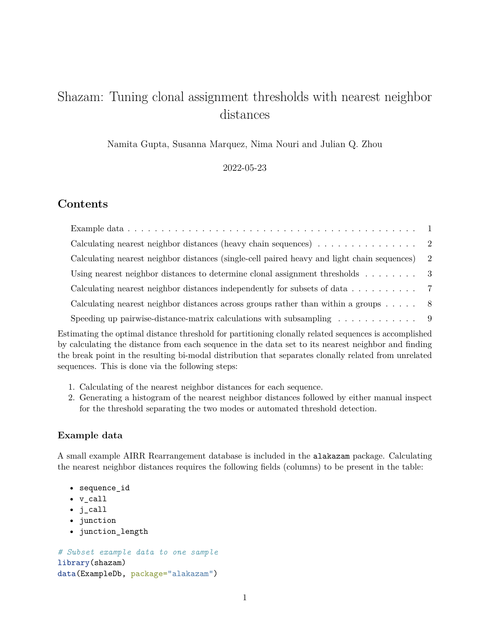# Shazam: Tuning clonal assignment thresholds with nearest neighbor distances

Namita Gupta, Susanna Marquez, Nima Nouri and Julian Q. Zhou

2022-05-23

# **Contents**

| Calculating nearest neighbor distances (single-cell paired heavy and light chain sequences) 2        |  |
|------------------------------------------------------------------------------------------------------|--|
| Using nearest neighbor distances to determine clonal assignment thresholds $\ldots \ldots$ .         |  |
| Calculating nearest neighbor distances independently for subsets of data 7                           |  |
| Calculating nearest neighbor distances across groups rather than within a groups $\ldots$ $\ldots$ 8 |  |
| Speeding up pairwise-distance-matrix calculations with subsampling $\ldots \ldots \ldots$            |  |

Estimating the optimal distance threshold for partitioning clonally related sequences is accomplished by calculating the distance from each sequence in the data set to its nearest neighbor and finding the break point in the resulting bi-modal distribution that separates clonally related from unrelated sequences. This is done via the following steps:

- 1. Calculating of the nearest neighbor distances for each sequence.
- 2. Generating a histogram of the nearest neighbor distances followed by either manual inspect for the threshold separating the two modes or automated threshold detection.

# <span id="page-0-0"></span>**Example data**

A small example AIRR Rearrangement database is included in the alakazam package. Calculating the nearest neighbor distances requires the following fields (columns) to be present in the table:

- sequence\_id
- v\_call
- j\_call
- junction
- junction\_length

```
# Subset example data to one sample
library(shazam)
data(ExampleDb, package="alakazam")
```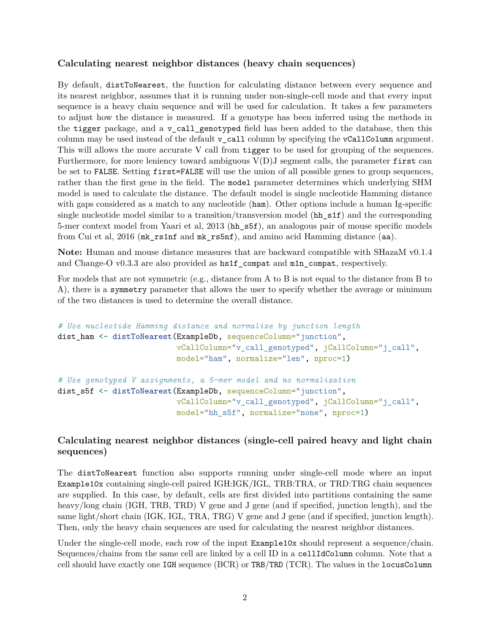# <span id="page-1-0"></span>**Calculating nearest neighbor distances (heavy chain sequences)**

By default, distToNearest, the function for calculating distance between every sequence and its nearest neighbor, assumes that it is running under non-single-cell mode and that every input sequence is a heavy chain sequence and will be used for calculation. It takes a few parameters to adjust how the distance is measured. If a genotype has been inferred using the methods in the tigger package, and a v\_call\_genotyped field has been added to the database, then this column may be used instead of the default v\_call column by specifying the vCallColumn argument. This will allows the more accurate V call from **tigger** to be used for grouping of the sequences. Furthermore, for more leniency toward ambiguous  $V(D)$  segment calls, the parameter first can be set to FALSE. Setting first=FALSE will use the union of all possible genes to group sequences, rather than the first gene in the field. The model parameter determines which underlying SHM model is used to calculate the distance. The default model is single nucleotide Hamming distance with gaps considered as a match to any nucleotide (ham). Other options include a human Ig-specific single nucleotide model similar to a transition/transversion model ( $hh$ <sub>s1f</sub>) and the corresponding 5-mer context model from Yaari et al, 2013 (hh\_s5f), an analogous pair of mouse specific models from Cui et al, 2016 (mk\_rs1nf and mk\_rs5nf), and amino acid Hamming distance (aa).

**Note:** Human and mouse distance measures that are backward compatible with SHazaM v0.1.4 and Change-O v0.3.3 are also provided as  $hs1f_{\text{compat}}$  and  $mln_{\text{compat}}$ , respectively.

For models that are not symmetric (e.g., distance from A to B is not equal to the distance from B to A), there is a symmetry parameter that allows the user to specify whether the average or minimum of the two distances is used to determine the overall distance.

```
# Use nucleotide Hamming distance and normalize by junction length
dist_ham <- distToNearest(ExampleDb, sequenceColumn="junction",
                          vCallColumn="v_call_genotyped", jCallColumn="j_call",
                          model="ham", normalize="len", nproc=1)
# Use genotyped V assignments, a 5-mer model and no normalization
dist_s5f <- distToNearest(ExampleDb, sequenceColumn="junction",
                          vCallColumn="v_call_genotyped", jCallColumn="j_call",
                          model="hh_s5f", normalize="none", nproc=1)
```
# <span id="page-1-1"></span>**Calculating nearest neighbor distances (single-cell paired heavy and light chain sequences)**

The distToNearest function also supports running under single-cell mode where an input Example10x containing single-cell paired IGH:IGK/IGL, TRB:TRA, or TRD:TRG chain sequences are supplied. In this case, by default, cells are first divided into partitions containing the same heavy/long chain (IGH, TRB, TRD) V gene and J gene (and if specified, junction length), and the same light/short chain (IGK, IGL, TRA, TRG) V gene and J gene (and if specified, junction length). Then, only the heavy chain sequences are used for calculating the nearest neighbor distances.

Under the single-cell mode, each row of the input **Example10x** should represent a sequence/chain. Sequences/chains from the same cell are linked by a cell ID in a cellIdColumn column. Note that a cell should have exactly one IGH sequence (BCR) or TRB/TRD (TCR). The values in the locusColumn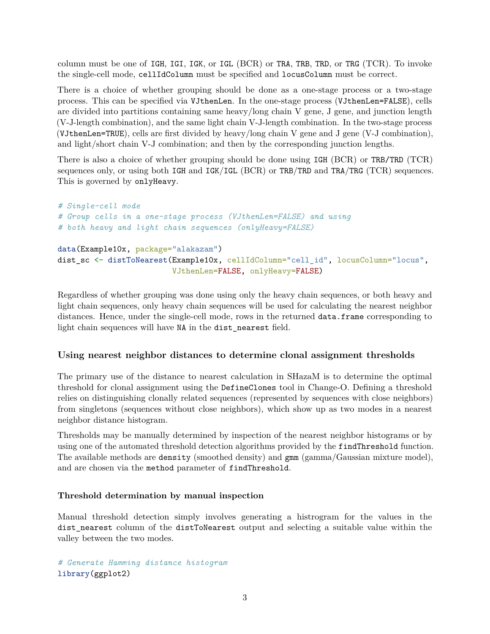column must be one of IGH, IGI, IGK, or IGL (BCR) or TRA, TRB, TRD, or TRG (TCR). To invoke the single-cell mode, cellIdColumn must be specified and locusColumn must be correct.

There is a choice of whether grouping should be done as a one-stage process or a two-stage process. This can be specified via VJthenLen. In the one-stage process (VJthenLen=FALSE), cells are divided into partitions containing same heavy/long chain V gene, J gene, and junction length (V-J-length combination), and the same light chain V-J-length combination. In the two-stage process (VJthenLen=TRUE), cells are first divided by heavy/long chain V gene and J gene (V-J combination), and light/short chain V-J combination; and then by the corresponding junction lengths.

There is also a choice of whether grouping should be done using IGH (BCR) or TRB/TRD (TCR) sequences only, or using both IGH and IGK/IGL (BCR) or TRB/TRD and TRA/TRG (TCR) sequences. This is governed by onlyHeavy.

```
# Single-cell mode
# Group cells in a one-stage process (VJthenLen=FALSE) and using
# both heavy and light chain sequences (onlyHeavy=FALSE)
data(Example10x, package="alakazam")
dist_sc <- distToNearest(Example10x, cellIdColumn="cell_id", locusColumn="locus",
                         VJthenLen=FALSE, onlyHeavy=FALSE)
```
Regardless of whether grouping was done using only the heavy chain sequences, or both heavy and light chain sequences, only heavy chain sequences will be used for calculating the nearest neighbor distances. Hence, under the single-cell mode, rows in the returned data.frame corresponding to light chain sequences will have NA in the dist\_nearest field.

#### <span id="page-2-0"></span>**Using nearest neighbor distances to determine clonal assignment thresholds**

The primary use of the distance to nearest calculation in SHazaM is to determine the optimal threshold for clonal assignment using the DefineClones tool in Change-O. Defining a threshold relies on distinguishing clonally related sequences (represented by sequences with close neighbors) from singletons (sequences without close neighbors), which show up as two modes in a nearest neighbor distance histogram.

Thresholds may be manually determined by inspection of the nearest neighbor histograms or by using one of the automated threshold detection algorithms provided by the findThreshold function. The available methods are density (smoothed density) and gmm (gamma/Gaussian mixture model), and are chosen via the method parameter of findThreshold.

#### **Threshold determination by manual inspection**

Manual threshold detection simply involves generating a histrogram for the values in the dist nearest column of the distToNearest output and selecting a suitable value within the valley between the two modes.

*# Generate Hamming distance histogram* library(ggplot2)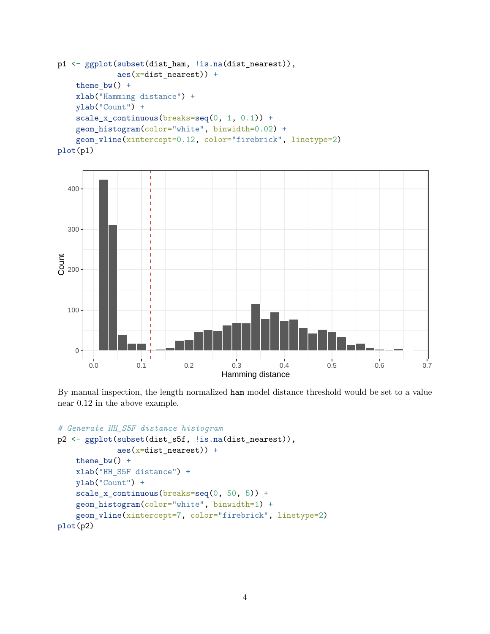```
p1 <- ggplot(subset(dist_ham, !is.na(dist_nearest)),
             \text{aes}(\text{x}=dist\_nearest)) +
    theme_bw() +xlab("Hamming distance") +
    ylab("Count") +
    scale_x_{continuous(breaks=seq(0, 1, 0.1)) +geom_histogram(color="white", binwidth=0.02) +
    geom_vline(xintercept=0.12, color="firebrick", linetype=2)
plot(p1)
```


By manual inspection, the length normalized ham model distance threshold would be set to a value near 0.12 in the above example.

```
# Generate HH_S5F distance histogram
p2 <- ggplot(subset(dist_s5f, !is.na(dist_nearest)),
             \text{aes}(\text{x}=dist\_nearest)) +
    theme_bw() +xlab("HH_S5F distance") +
    ylab("Count") +
    scale_x_continuous(breaks=seq(0, 50, 5)) +
    geom_histogram(color="white", binwidth=1) +
    geom_vline(xintercept=7, color="firebrick", linetype=2)
plot(p2)
```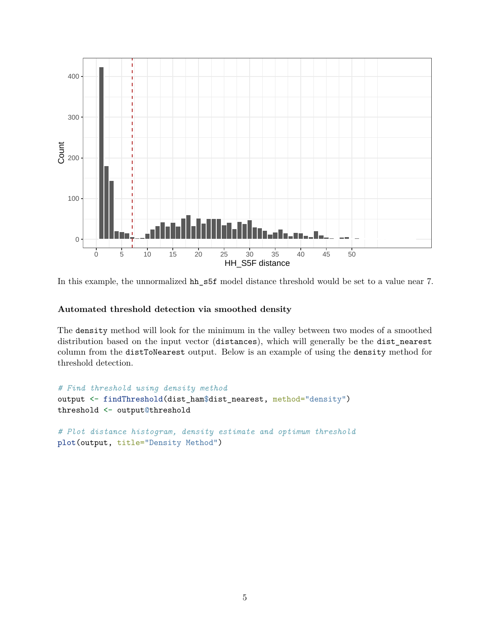

In this example, the unnormalized hh\_s5f model distance threshold would be set to a value near 7.

### **Automated threshold detection via smoothed density**

The density method will look for the minimum in the valley between two modes of a smoothed distribution based on the input vector (distances), which will generally be the dist\_nearest column from the distToNearest output. Below is an example of using the density method for threshold detection.

```
# Find threshold using density method
output <- findThreshold(dist_ham$dist_nearest, method="density")
threshold <- output@threshold
# Plot distance histogram, density estimate and optimum threshold
plot(output, title="Density Method")
```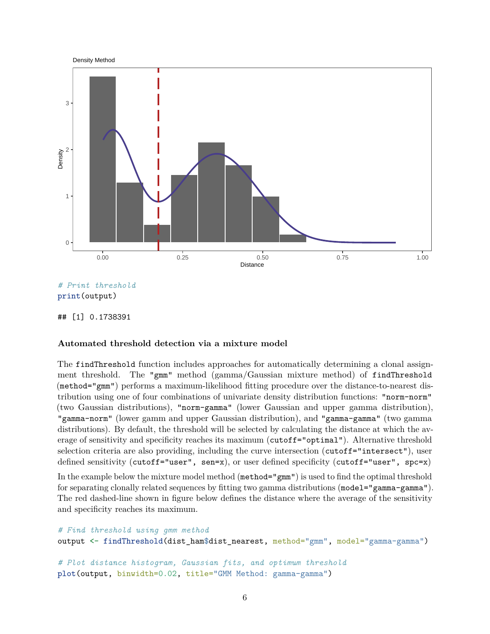

*# Print threshold* print(output)

## [1] 0.1738391

# **Automated threshold detection via a mixture model**

The findThreshold function includes approaches for automatically determining a clonal assignment threshold. The "gmm" method (gamma/Gaussian mixture method) of findThreshold (method="gmm") performs a maximum-likelihood fitting procedure over the distance-to-nearest distribution using one of four combinations of univariate density distribution functions: "norm-norm" (two Gaussian distributions), "norm-gamma" (lower Gaussian and upper gamma distribution), "gamma-norm" (lower gamm and upper Gaussian distribution), and "gamma-gamma" (two gamma distributions). By default, the threshold will be selected by calculating the distance at which the average of sensitivity and specificity reaches its maximum (cutoff="optimal"). Alternative threshold selection criteria are also providing, including the curve intersection (cutoff="intersect"), user defined sensitivity (cutoff="user", sen=x), or user defined specificity (cutoff="user", spc=x)

In the example below the mixture model method (method="gmm") is used to find the optimal threshold for separating clonally related sequences by fitting two gamma distributions (model="gamma-gamma"). The red dashed-line shown in figure below defines the distance where the average of the sensitivity and specificity reaches its maximum.

```
# Find threshold using gmm method
output <- findThreshold(dist_ham$dist_nearest, method="gmm", model="gamma-gamma")
# Plot distance histogram, Gaussian fits, and optimum threshold
plot(output, binwidth=0.02, title="GMM Method: gamma-gamma")
```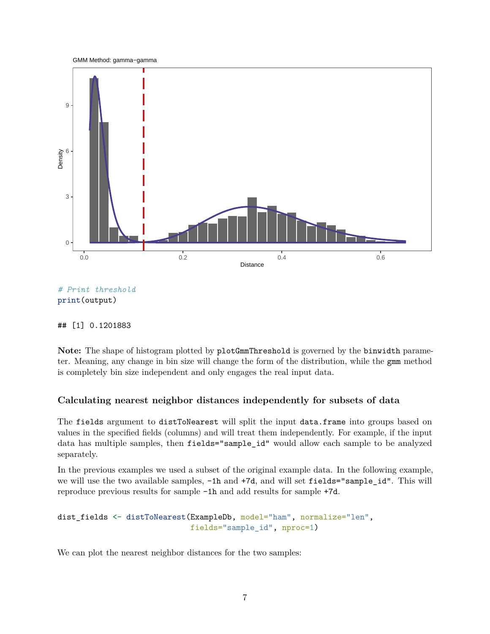



## [1] 0.1201883

Note: The shape of histogram plotted by plotGmmThreshold is governed by the binwidth parameter. Meaning, any change in bin size will change the form of the distribution, while the gmm method is completely bin size independent and only engages the real input data.

# <span id="page-6-0"></span>**Calculating nearest neighbor distances independently for subsets of data**

The fields argument to distToNearest will split the input data.frame into groups based on values in the specified fields (columns) and will treat them independently. For example, if the input data has multiple samples, then fields="sample\_id" would allow each sample to be analyzed separately.

In the previous examples we used a subset of the original example data. In the following example, we will use the two available samples,  $-1h$  and  $+7d$ , and will set fields="sample id". This will reproduce previous results for sample -1h and add results for sample +7d.

```
dist_fields <- distToNearest(ExampleDb, model="ham", normalize="len",
                             fields="sample_id", nproc=1)
```
We can plot the nearest neighbor distances for the two samples: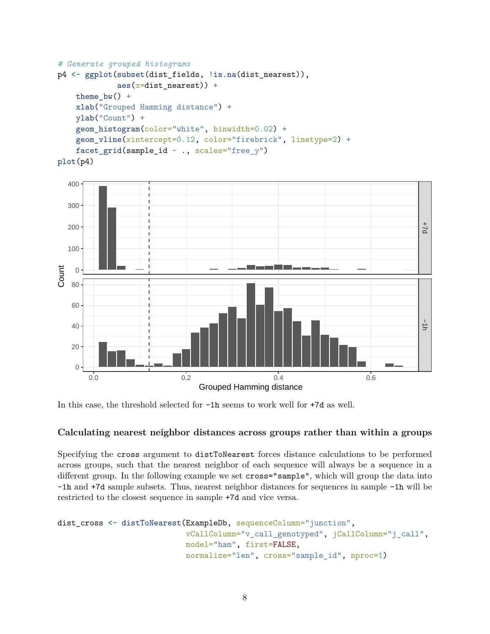```
# Generate grouped histograms
p4 <- ggplot(subset(dist_fields, !is.na(dist_nearest)),
             \text{aes}(\text{x}=dist\_nearest) +
    theme bw() +
    xlab("Grouped Hamming distance") +
    ylab("Count") +
    geom_histogram(color="white", binwidth=0.02) +
    geom_vline(xintercept=0.12, color="firebrick", linetype=2) +
    facet_grid(sample_id ~ ., scales="free_y")
plot(p4)
```


In this case, the threshold selected for  $-1h$  seems to work well for  $+7d$  as well.

# <span id="page-7-0"></span>**Calculating nearest neighbor distances across groups rather than within a groups**

Specifying the cross argument to distToNearest forces distance calculations to be performed across groups, such that the nearest neighbor of each sequence will always be a sequence in a different group. In the following example we set cross="sample", which will group the data into -1h and +7d sample subsets. Thus, nearest neighbor distances for sequences in sample -1h will be restricted to the closest sequence in sample +7d and vice versa.

```
dist_cross <- distToNearest(ExampleDb, sequenceColumn="junction",
                            vCallColumn="v_call_genotyped", jCallColumn="j_call",
                            model="ham", first=FALSE,
                            normalize="len", cross="sample_id", nproc=1)
```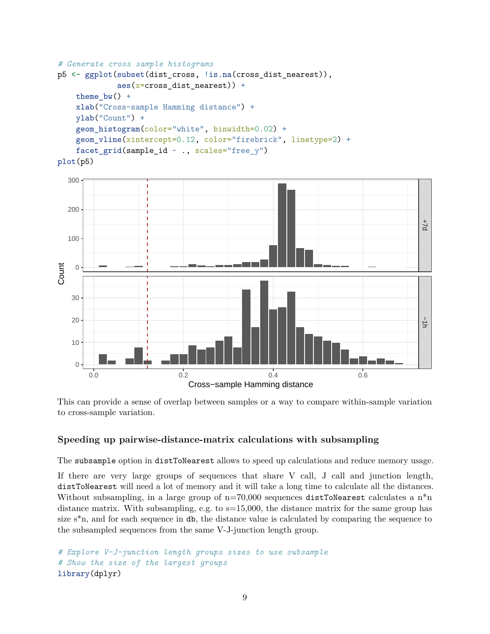```
# Generate cross sample histograms
p5 <- ggplot(subset(dist_cross, !is.na(cross_dist_nearest)),
             \text{aes}(x = cross\_dist\_nearest) +
    theme bw() +
    xlab("Cross-sample Hamming distance") +
    ylab("Count") +
    geom_histogram(color="white", binwidth=0.02) +
    geom_vline(xintercept=0.12, color="firebrick", linetype=2) +
    facet_grid(sample_id ~ ., scales="free_y")
plot(p5)
```


This can provide a sense of overlap between samples or a way to compare within-sample variation to cross-sample variation.

#### <span id="page-8-0"></span>**Speeding up pairwise-distance-matrix calculations with subsampling**

The subsample option in distToNearest allows to speed up calculations and reduce memory usage.

If there are very large groups of sequences that share V call, J call and junction length, distToNearest will need a lot of memory and it will take a long time to calculate all the distances. Without subsampling, in a large group of  $n=70,000$  sequences distToNearest calculates a  $n^*n$ distance matrix. With subsampling, e.g. to  $s=15,000$ , the distance matrix for the same group has size  $s^*n$ , and for each sequence in db, the distance value is calculated by comparing the sequence to the subsampled sequences from the same V-J-junction length group.

```
# Explore V-J-junction length groups sizes to use subsample
# Show the size of the largest groups
library(dplyr)
```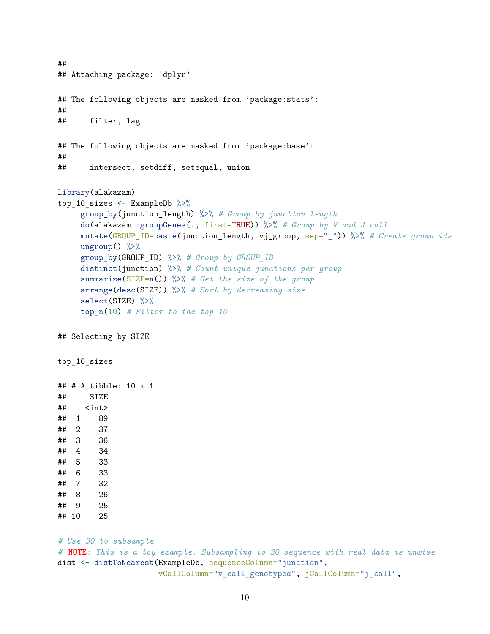```
##
## Attaching package: 'dplyr'
## The following objects are masked from 'package:stats':
##
## filter, lag
## The following objects are masked from 'package:base':
##
## intersect, setdiff, setequal, union
library(alakazam)
top_10_sizes <- ExampleDb %>%
    group_by(junction_length) %>% # Group by junction length
    do(alakazam::groupGenes(., first=TRUE)) %>% # Group by V and J call
    mutate(GROUP_ID=paste(junction_length, vj_group, sep="_")) %>% # Create group ids
    ungroup() \frac{9}{2}group_by(GROUP_ID) %>% # Group by GROUP_ID
    distinct(junction) %>% # Count unique junctions per group
    summarize(SIZE=n()) %>% # Get the size of the group
    arrange(desc(SIZE)) %>% # Sort by decreasing size
    select(SIZE) %>%
    top_n(10) # Filter to the top 10
## Selecting by SIZE
top_10_sizes
## # A tibble: 10 x 1
## SIZE
## <int>
## 1 89
## 2 37
## 3 36
## 4 34
## 5 33
## 6 33
## 7 32
## 8 26
## 9 25
## 10 25
# Use 30 to subsample
# NOTE: This is a toy example. Subsampling to 30 sequence with real data is unwise
dist <- distToNearest(ExampleDb, sequenceColumn="junction",
                     vCallColumn="v_call_genotyped", jCallColumn="j_call",
```